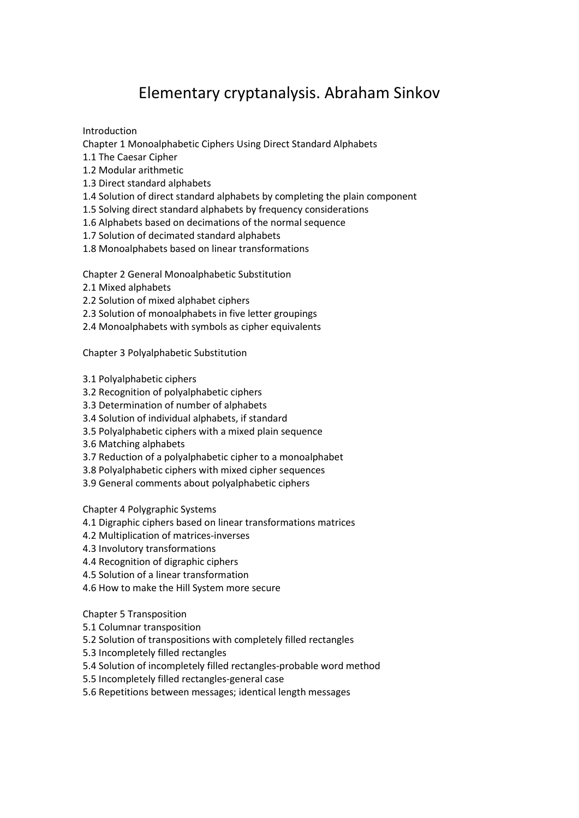## Elementary cryptanalysis. Abraham Sinkov

Introduction

Chapter 1 Monoalphabetic Ciphers Using Direct Standard Alphabets

- 1.1 The Caesar Cipher
- 1.2 Modular arithmetic
- 1.3 Direct standard alphabets
- 1.4 Solution of direct standard alphabets by completing the plain component
- 1.5 Solving direct standard alphabets by frequency considerations
- 1.6 Alphabets based on decimations of the normal sequence
- 1.7 Solution of decimated standard alphabets
- 1.8 Monoalphabets based on linear transformations

Chapter 2 General Monoalphabetic Substitution

- 2.1 Mixed alphabets
- 2.2 Solution of mixed alphabet ciphers
- 2.3 Solution of monoalphabets in five letter groupings
- 2.4 Monoalphabets with symbols as cipher equivalents

Chapter 3 Polyalphabetic Substitution

- 3.1 Polyalphabetic ciphers
- 3.2 Recognition of polyalphabetic ciphers
- 3.3 Determination of number of alphabets
- 3.4 Solution of individual alphabets, if standard
- 3.5 Polyalphabetic ciphers with a mixed plain sequence
- 3.6 Matching alphabets
- 3.7 Reduction of a polyalphabetic cipher to a monoalphabet
- 3.8 Polyalphabetic ciphers with mixed cipher sequences
- 3.9 General comments about polyalphabetic ciphers

Chapter 4 Polygraphic Systems

- 4.1 Digraphic ciphers based on linear transformations matrices
- 4.2 Multiplication of matrices-inverses
- 4.3 Involutory transformations
- 4.4 Recognition of digraphic ciphers
- 4.5 Solution of a linear transformation
- 4.6 How to make the Hill System more secure

Chapter 5 Transposition

- 5.1 Columnar transposition
- 5.2 Solution of transpositions with completely filled rectangles
- 5.3 Incompletely filled rectangles
- 5.4 Solution of incompletely filled rectangles-probable word method
- 5.5 Incompletely filled rectangles-general case
- 5.6 Repetitions between messages; identical length messages